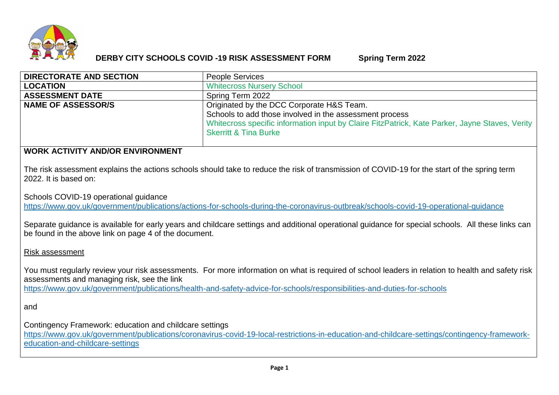

# **DERBY CITY SCHOOLS COVID -19 RISK ASSESSMENT FORM Spring Term 2022**

| <b>DIRECTORATE AND SECTION</b> | <b>People Services</b>                                                                                                                                                                                                                     |
|--------------------------------|--------------------------------------------------------------------------------------------------------------------------------------------------------------------------------------------------------------------------------------------|
| <b>LOCATION</b>                | <b>Whitecross Nursery School</b>                                                                                                                                                                                                           |
| <b>ASSESSMENT DATE</b>         | Spring Term 2022                                                                                                                                                                                                                           |
| <b>NAME OF ASSESSOR/S</b>      | Originated by the DCC Corporate H&S Team.<br>Schools to add those involved in the assessment process<br>Whitecross specific information input by Claire FitzPatrick, Kate Parker, Jayne Staves, Verity<br><b>Skerritt &amp; Tina Burke</b> |

# **WORK ACTIVITY AND/OR ENVIRONMENT**

The risk assessment explains the actions schools should take to reduce the risk of transmission of COVID-19 for the start of the spring term 2022. It is based on:

Schools COVID-19 operational guidance

<https://www.gov.uk/government/publications/actions-for-schools-during-the-coronavirus-outbreak/schools-covid-19-operational-guidance>

Separate guidance is available for early years and childcare settings and additional operational guidance for special schools. All these links can be found in the above link on page 4 of the document.

# Risk assessment

You must regularly review your risk assessments. For more information on what is required of school leaders in relation to health and safety risk assessments and managing risk, see the link <https://www.gov.uk/government/publications/health-and-safety-advice-for-schools/responsibilities-and-duties-for-schools>

and

Contingency Framework: education and childcare settings

[https://www.gov.uk/government/publications/coronavirus-covid-19-local-restrictions-in-education-and-childcare-settings/contingency-framework](https://www.gov.uk/government/publications/coronavirus-covid-19-local-restrictions-in-education-and-childcare-settings/contingency-framework-education-and-childcare-settings)[education-and-childcare-settings](https://www.gov.uk/government/publications/coronavirus-covid-19-local-restrictions-in-education-and-childcare-settings/contingency-framework-education-and-childcare-settings)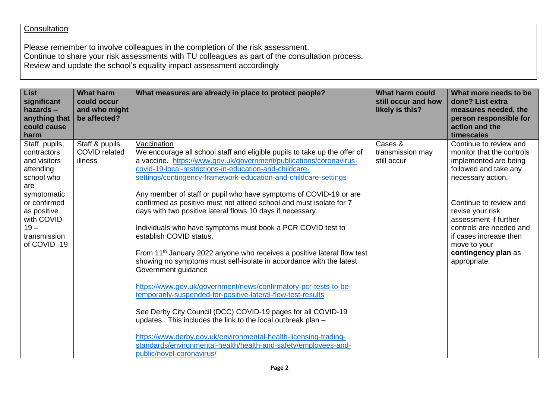# **Consultation**

Please remember to involve colleagues in the completion of the risk assessment. Continue to share your risk assessments with TU colleagues as part of the consultation process. Review and update the school's equality impact assessment accordingly

| <b>List</b><br>significant<br>$hazards -$<br>anything that<br>could cause<br>harm                                                                                                     | <b>What harm</b><br>could occur<br>and who might<br>be affected? | What measures are already in place to protect people?                                                                                                                                                                                                                                                                                                                                                                                                                                                                                                                                                                                                                                                                                                                                                                                                                                                                                                                                                                                                                                                                                                                                                                         | <b>What harm could</b><br>still occur and how<br>likely is this? | What more needs to be<br>done? List extra<br>measures needed, the<br>person responsible for<br>action and the<br>timescales                                                                                                                                                                                   |
|---------------------------------------------------------------------------------------------------------------------------------------------------------------------------------------|------------------------------------------------------------------|-------------------------------------------------------------------------------------------------------------------------------------------------------------------------------------------------------------------------------------------------------------------------------------------------------------------------------------------------------------------------------------------------------------------------------------------------------------------------------------------------------------------------------------------------------------------------------------------------------------------------------------------------------------------------------------------------------------------------------------------------------------------------------------------------------------------------------------------------------------------------------------------------------------------------------------------------------------------------------------------------------------------------------------------------------------------------------------------------------------------------------------------------------------------------------------------------------------------------------|------------------------------------------------------------------|---------------------------------------------------------------------------------------------------------------------------------------------------------------------------------------------------------------------------------------------------------------------------------------------------------------|
| Staff, pupils,<br>contractors<br>and visitors<br>attending<br>school who<br>are<br>symptomatic<br>or confirmed<br>as positive<br>with COVID-<br>$19 -$<br>transmission<br>of COVID-19 | Staff & pupils<br><b>COVID</b> related<br>illness                | Vaccination<br>We encourage all school staff and eligible pupils to take up the offer of<br>a vaccine. https://www.gov.uk/government/publications/coronavirus-<br>covid-19-local-restrictions-in-education-and-childcare-<br>settings/contingency-framework-education-and-childcare-settings<br>Any member of staff or pupil who have symptoms of COVID-19 or are<br>confirmed as positive must not attend school and must isolate for 7<br>days with two positive lateral flows 10 days if necessary.<br>Individuals who have symptoms must book a PCR COVID test to<br>establish COVID status.<br>From 11 <sup>th</sup> January 2022 anyone who receives a positive lateral flow test<br>showing no symptoms must self-isolate in accordance with the latest<br>Government guidance<br>https://www.gov.uk/government/news/confirmatory-pcr-tests-to-be-<br>temporarily-suspended-for-positive-lateral-flow-test-results<br>See Derby City Council (DCC) COVID-19 pages for all COVID-19<br>updates. This includes the link to the local outbreak plan -<br>https://www.derby.gov.uk/environmental-health-licensing-trading-<br>standards/environmental-health/health-and-safety/employees-and-<br>public/novel-coronavirus/ | Cases &<br>transmission may<br>still occur                       | Continue to review and<br>monitor that the controls<br>implemented are being<br>followed and take any<br>necessary action.<br>Continue to review and<br>revise your risk<br>assessment if further<br>controls are needed and<br>if cases increase then<br>move to your<br>contingency plan as<br>appropriate. |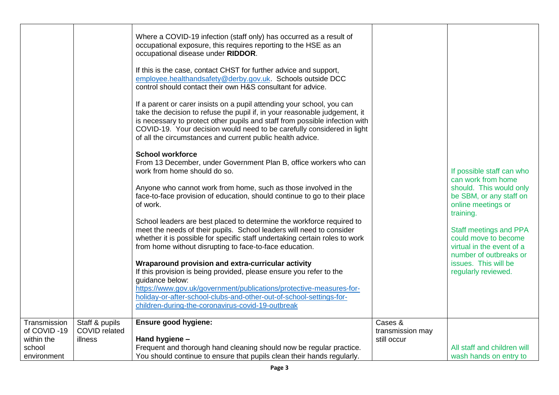| Where a COVID-19 infection (staff only) has occurred as a result of<br>occupational exposure, this requires reporting to the HSE as an                                                                                                                                                                                                                                                                                                                                                                                                                                                                                                                                                                                                                                                                                                                                                                                                                                                                                                                                                                                                                                                                                                                                                                                                                         |                                                                                                                                                 |                                                                                                                                                                                                                                                                                                         |
|----------------------------------------------------------------------------------------------------------------------------------------------------------------------------------------------------------------------------------------------------------------------------------------------------------------------------------------------------------------------------------------------------------------------------------------------------------------------------------------------------------------------------------------------------------------------------------------------------------------------------------------------------------------------------------------------------------------------------------------------------------------------------------------------------------------------------------------------------------------------------------------------------------------------------------------------------------------------------------------------------------------------------------------------------------------------------------------------------------------------------------------------------------------------------------------------------------------------------------------------------------------------------------------------------------------------------------------------------------------|-------------------------------------------------------------------------------------------------------------------------------------------------|---------------------------------------------------------------------------------------------------------------------------------------------------------------------------------------------------------------------------------------------------------------------------------------------------------|
| If this is the case, contact CHST for further advice and support,<br>employee.healthandsafety@derby.gov.uk. Schools outside DCC<br>control should contact their own H&S consultant for advice.<br>If a parent or carer insists on a pupil attending your school, you can<br>take the decision to refuse the pupil if, in your reasonable judgement, it<br>of all the circumstances and current public health advice.<br><b>School workforce</b><br>From 13 December, under Government Plan B, office workers who can<br>work from home should do so.<br>Anyone who cannot work from home, such as those involved in the<br>face-to-face provision of education, should continue to go to their place<br>of work.<br>School leaders are best placed to determine the workforce required to<br>meet the needs of their pupils. School leaders will need to consider<br>whether it is possible for specific staff undertaking certain roles to work<br>from home without disrupting to face-to-face education.<br>Wraparound provision and extra-curricular activity<br>If this provision is being provided, please ensure you refer to the<br>quidance below:<br>https://www.gov.uk/government/publications/protective-measures-for-<br>holiday-or-after-school-clubs-and-other-out-of-school-settings-for-<br>children-during-the-coronavirus-covid-19-outbreak |                                                                                                                                                 | If possible staff can who<br>can work from home<br>should. This would only<br>be SBM, or any staff on<br>online meetings or<br>training.<br><b>Staff meetings and PPA</b><br>could move to become<br>virtual in the event of a<br>number of outbreaks or<br>issues. This will be<br>regularly reviewed. |
|                                                                                                                                                                                                                                                                                                                                                                                                                                                                                                                                                                                                                                                                                                                                                                                                                                                                                                                                                                                                                                                                                                                                                                                                                                                                                                                                                                |                                                                                                                                                 |                                                                                                                                                                                                                                                                                                         |
| Hand hygiene -<br>Frequent and thorough hand cleaning should now be regular practice.                                                                                                                                                                                                                                                                                                                                                                                                                                                                                                                                                                                                                                                                                                                                                                                                                                                                                                                                                                                                                                                                                                                                                                                                                                                                          | transmission may<br>still occur                                                                                                                 | All staff and children will<br>wash hands on entry to                                                                                                                                                                                                                                                   |
|                                                                                                                                                                                                                                                                                                                                                                                                                                                                                                                                                                                                                                                                                                                                                                                                                                                                                                                                                                                                                                                                                                                                                                                                                                                                                                                                                                | Staff & pupils<br><b>Ensure good hygiene:</b><br><b>COVID</b> related<br>You should continue to ensure that pupils clean their hands regularly. | occupational disease under RIDDOR.<br>is necessary to protect other pupils and staff from possible infection with<br>COVID-19. Your decision would need to be carefully considered in light<br>Cases &                                                                                                  |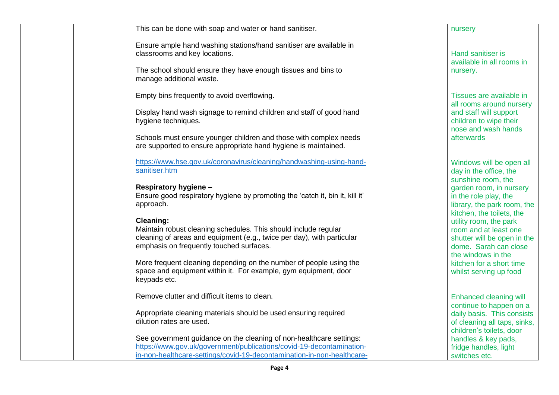| This can be done with soap and water or hand sanitiser.                                                                                                                                                               | nursery                                                                                                                                       |
|-----------------------------------------------------------------------------------------------------------------------------------------------------------------------------------------------------------------------|-----------------------------------------------------------------------------------------------------------------------------------------------|
| Ensure ample hand washing stations/hand sanitiser are available in<br>classrooms and key locations.<br>The school should ensure they have enough tissues and bins to<br>manage additional waste.                      | <b>Hand sanitiser is</b><br>available in all rooms in<br>nursery.                                                                             |
| Empty bins frequently to avoid overflowing.<br>Display hand wash signage to remind children and staff of good hand<br>hygiene techniques.<br>Schools must ensure younger children and those with complex needs        | Tissues are available in<br>all rooms around nursery<br>and staff will support<br>children to wipe their<br>nose and wash hands<br>afterwards |
| are supported to ensure appropriate hand hygiene is maintained.                                                                                                                                                       |                                                                                                                                               |
| https://www.hse.gov.uk/coronavirus/cleaning/handwashing-using-hand-<br>sanitiser.htm                                                                                                                                  | Windows will be open all<br>day in the office, the<br>sunshine room, the                                                                      |
| Respiratory hygiene -<br>Ensure good respiratory hygiene by promoting the 'catch it, bin it, kill it'<br>approach.                                                                                                    | garden room, in nursery<br>in the role play, the<br>library, the park room, the<br>kitchen, the toilets, the                                  |
| <b>Cleaning:</b><br>Maintain robust cleaning schedules. This should include regular<br>cleaning of areas and equipment (e.g., twice per day), with particular<br>emphasis on frequently touched surfaces.             | utility room, the park<br>room and at least one<br>shutter will be open in the<br>dome. Sarah can close<br>the windows in the                 |
| More frequent cleaning depending on the number of people using the<br>space and equipment within it. For example, gym equipment, door<br>keypads etc.                                                                 | kitchen for a short time<br>whilst serving up food                                                                                            |
| Remove clutter and difficult items to clean.                                                                                                                                                                          | Enhanced cleaning will<br>continue to happen on a                                                                                             |
| Appropriate cleaning materials should be used ensuring required<br>dilution rates are used.                                                                                                                           | daily basis. This consists<br>of cleaning all taps, sinks,<br>children's toilets, door                                                        |
| See government guidance on the cleaning of non-healthcare settings:<br>https://www.gov.uk/government/publications/covid-19-decontamination-<br>in-non-healthcare-settings/covid-19-decontamination-in-non-healthcare- | handles & key pads,<br>fridge handles, light<br>switches etc.                                                                                 |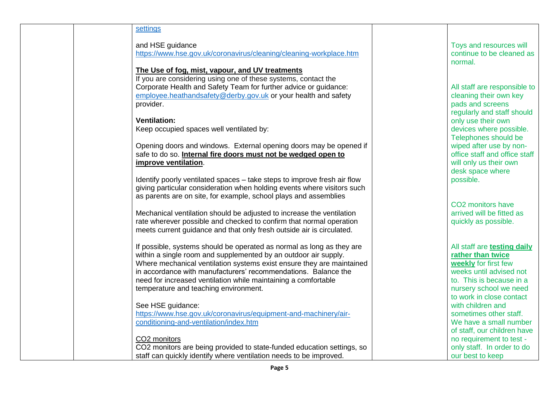#### **[settings](https://www.gov.uk/government/publications/covid-19-decontamination-in-non-healthcare-settings/covid-19-decontamination-in-non-healthcare-settings)**

and HSE guidance

<https://www.hse.gov.uk/coronavirus/cleaning/cleaning-workplace.htm>

#### **The Use of fog, mist, vapour, and UV treatments**

If you are considering using one of these systems, contact the Corporate Health and Safety Team for further advice or guidance: [employee.heathandsafety@derby.gov.uk](mailto:employee.heathandsafety@derby.gov.uk) or your health and safety provider.

# **Ventilation:**

Keep occupied spaces well ventilated by:

Opening doors and windows. External opening doors may be opened if safe to do so. **Internal fire doors must not be wedged open to improve ventilation**.

Identify poorly ventilated spaces – take steps to improve fresh air flow giving particular consideration when holding events where visitors such as parents are on site, for example, school plays and assemblies

Mechanical ventilation should be adjusted to increase the ventilation rate wherever possible and checked to confirm that normal operation meets current guidance and that only fresh outside air is circulated.

If possible, systems should be operated as normal as long as they are within a single room and supplemented by an outdoor air supply. Where mechanical ventilation systems exist ensure they are maintained in accordance with manufacturers' recommendations. Balance the need for increased ventilation while maintaining a comfortable temperature and teaching environment.

# See HSE guidance:

[https://www.hse.gov.uk/coronavirus/equipment-and-machinery/air](https://www.hse.gov.uk/coronavirus/equipment-and-machinery/air-conditioning-and-ventilation/index.htm)[conditioning-and-ventilation/index.htm](https://www.hse.gov.uk/coronavirus/equipment-and-machinery/air-conditioning-and-ventilation/index.htm)

# CO2 monitors

CO2 monitors are being provided to state-funded education settings, so staff can quickly identify where ventilation needs to be improved.

Toys and resources will continue to be cleaned as normal.

All staff are responsible to cleaning their own key pads and screens regularly and staff should only use their own devices where possible. Telephones should be wiped after use by nonoffice staff and office staff will only us their own desk space where possible.

CO2 monitors have arrived will be fitted as quickly as possible.

All staff are **testing daily rather than twice weekly** for first few weeks until advised not to. This is because in a nursery school we need to work in close contact with children and sometimes other staff. We have a small number of staff, our children have no requirement to test only staff. In order to do our best to keep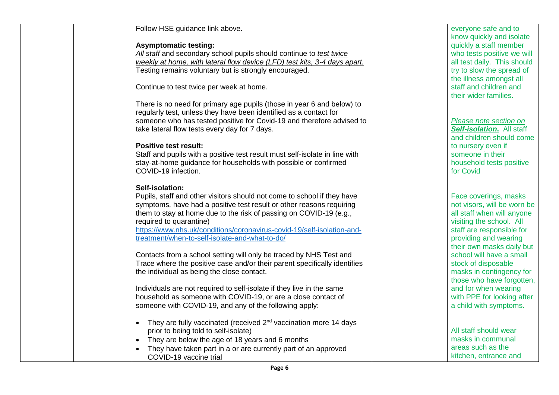| Follow HSE guidance link above.                                                           | everyone safe and to                  |
|-------------------------------------------------------------------------------------------|---------------------------------------|
|                                                                                           | know quickly and isolate              |
| <b>Asymptomatic testing:</b>                                                              | quickly a staff member                |
| All staff and secondary school pupils should continue to test twice                       | who tests positive we will            |
| weekly at home, with lateral flow device (LFD) test kits, 3-4 days apart.                 | all test daily. This should           |
| Testing remains voluntary but is strongly encouraged.                                     | try to slow the spread of             |
|                                                                                           | the illness amongst all               |
| Continue to test twice per week at home.                                                  | staff and children and                |
|                                                                                           | their wider families.                 |
| There is no need for primary age pupils (those in year 6 and below) to                    |                                       |
| regularly test, unless they have been identified as a contact for                         |                                       |
| someone who has tested positive for Covid-19 and therefore advised to                     | Please note section on                |
| take lateral flow tests every day for 7 days.                                             | Self-isolation. All staff             |
|                                                                                           | and children should come              |
| <b>Positive test result:</b>                                                              | to nursery even if                    |
| Staff and pupils with a positive test result must self-isolate in line with               | someone in their                      |
| stay-at-home guidance for households with possible or confirmed<br>COVID-19 infection.    | household tests positive<br>for Covid |
|                                                                                           |                                       |
| Self-isolation:                                                                           |                                       |
| Pupils, staff and other visitors should not come to school if they have                   | Face coverings, masks                 |
| symptoms, have had a positive test result or other reasons requiring                      | not visors, will be worn be           |
| them to stay at home due to the risk of passing on COVID-19 (e.g.,                        | all staff when will anyone            |
| required to quarantine)                                                                   | visiting the school. All              |
| https://www.nhs.uk/conditions/coronavirus-covid-19/self-isolation-and-                    | staff are responsible for             |
| treatment/when-to-self-isolate-and-what-to-do/                                            | providing and wearing                 |
|                                                                                           | their own masks daily but             |
| Contacts from a school setting will only be traced by NHS Test and                        | school will have a small              |
| Trace where the positive case and/or their parent specifically identifies                 | stock of disposable                   |
| the individual as being the close contact.                                                | masks in contingency for              |
|                                                                                           | those who have forgotten,             |
| Individuals are not required to self-isolate if they live in the same                     | and for when wearing                  |
| household as someone with COVID-19, or are a close contact of                             | with PPE for looking after            |
| someone with COVID-19, and any of the following apply:                                    | a child with symptoms.                |
|                                                                                           |                                       |
| They are fully vaccinated (received 2 <sup>nd</sup> vaccination more 14 days<br>$\bullet$ |                                       |
| prior to being told to self-isolate)                                                      | All staff should wear                 |
| • They are below the age of 18 years and 6 months                                         | masks in communal                     |
| They have taken part in a or are currently part of an approved                            | areas such as the                     |
| COVID-19 vaccine trial                                                                    | kitchen, entrance and                 |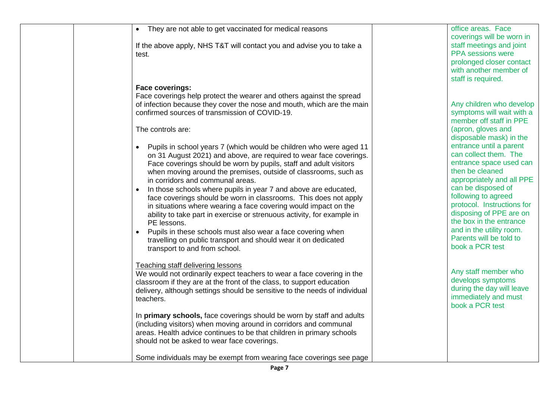| They are not able to get vaccinated for medical reasons<br>$\bullet$                                                                       | office areas. Face<br>coverings will be worn in     |
|--------------------------------------------------------------------------------------------------------------------------------------------|-----------------------------------------------------|
| If the above apply, NHS T&T will contact you and advise you to take a<br>test.                                                             | staff meetings and joint<br>PPA sessions were       |
|                                                                                                                                            | prolonged closer contact<br>with another member of  |
|                                                                                                                                            | staff is required.                                  |
| <b>Face coverings:</b><br>Face coverings help protect the wearer and others against the spread                                             |                                                     |
| of infection because they cover the nose and mouth, which are the main                                                                     | Any children who develop                            |
| confirmed sources of transmission of COVID-19.                                                                                             | symptoms will wait with a                           |
|                                                                                                                                            | member off staff in PPE                             |
| The controls are:                                                                                                                          | (apron, gloves and<br>disposable mask) in the       |
| Pupils in school years 7 (which would be children who were aged 11                                                                         | entrance until a parent                             |
| on 31 August 2021) and above, are required to wear face coverings.                                                                         | can collect them. The                               |
| Face coverings should be worn by pupils, staff and adult visitors<br>when moving around the premises, outside of classrooms, such as       | entrance space used can<br>then be cleaned          |
| in corridors and communal areas.                                                                                                           | appropriately and all PPE                           |
| In those schools where pupils in year 7 and above are educated,<br>$\bullet$                                                               | can be disposed of                                  |
| face coverings should be worn in classrooms. This does not apply<br>in situations where wearing a face covering would impact on the        | following to agreed<br>protocol. Instructions for   |
| ability to take part in exercise or strenuous activity, for example in                                                                     | disposing of PPE are on                             |
| PE lessons.                                                                                                                                | the box in the entrance                             |
| Pupils in these schools must also wear a face covering when<br>$\bullet$<br>travelling on public transport and should wear it on dedicated | and in the utility room.<br>Parents will be told to |
| transport to and from school.                                                                                                              | book a PCR test                                     |
|                                                                                                                                            |                                                     |
| <b>Teaching staff delivering lessons</b><br>We would not ordinarily expect teachers to wear a face covering in the                         | Any staff member who                                |
| classroom if they are at the front of the class, to support education                                                                      | develops symptoms                                   |
| delivery, although settings should be sensitive to the needs of individual                                                                 | during the day will leave<br>immediately and must   |
| teachers.                                                                                                                                  | book a PCR test                                     |
| In primary schools, face coverings should be worn by staff and adults                                                                      |                                                     |
| (including visitors) when moving around in corridors and communal                                                                          |                                                     |
| areas. Health advice continues to be that children in primary schools<br>should not be asked to wear face coverings.                       |                                                     |
|                                                                                                                                            |                                                     |
| Some individuals may be exempt from wearing face coverings see page                                                                        |                                                     |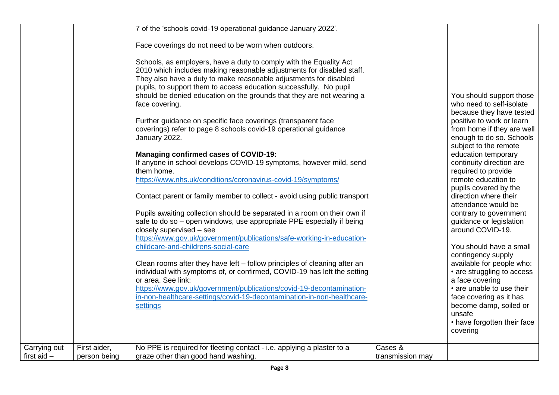|                               |                              | 7 of the 'schools covid-19 operational guidance January 2022'.<br>Face coverings do not need to be worn when outdoors.<br>Schools, as employers, have a duty to comply with the Equality Act<br>2010 which includes making reasonable adjustments for disabled staff.<br>They also have a duty to make reasonable adjustments for disabled<br>pupils, to support them to access education successfully. No pupil<br>should be denied education on the grounds that they are not wearing a<br>face covering.<br>Further guidance on specific face coverings (transparent face<br>coverings) refer to page 8 schools covid-19 operational guidance<br>January 2022.<br><b>Managing confirmed cases of COVID-19:</b><br>If anyone in school develops COVID-19 symptoms, however mild, send<br>them home.<br>https://www.nhs.uk/conditions/coronavirus-covid-19/symptoms/<br>Contact parent or family member to collect - avoid using public transport<br>Pupils awaiting collection should be separated in a room on their own if<br>safe to do so - open windows, use appropriate PPE especially if being<br>closely supervised - see<br>https://www.gov.uk/government/publications/safe-working-in-education- |                             | You should support those<br>who need to self-isolate<br>because they have tested<br>positive to work or learn<br>from home if they are well<br>enough to do so. Schools<br>subject to the remote<br>education temporary<br>continuity direction are<br>required to provide<br>remote education to<br>pupils covered by the<br>direction where their<br>attendance would be<br>contrary to government<br>guidance or legislation<br>around COVID-19. |
|-------------------------------|------------------------------|--------------------------------------------------------------------------------------------------------------------------------------------------------------------------------------------------------------------------------------------------------------------------------------------------------------------------------------------------------------------------------------------------------------------------------------------------------------------------------------------------------------------------------------------------------------------------------------------------------------------------------------------------------------------------------------------------------------------------------------------------------------------------------------------------------------------------------------------------------------------------------------------------------------------------------------------------------------------------------------------------------------------------------------------------------------------------------------------------------------------------------------------------------------------------------------------------------------|-----------------------------|-----------------------------------------------------------------------------------------------------------------------------------------------------------------------------------------------------------------------------------------------------------------------------------------------------------------------------------------------------------------------------------------------------------------------------------------------------|
|                               |                              | childcare-and-childrens-social-care<br>Clean rooms after they have left – follow principles of cleaning after an<br>individual with symptoms of, or confirmed, COVID-19 has left the setting<br>or area. See link:<br>https://www.gov.uk/government/publications/covid-19-decontamination-<br>in-non-healthcare-settings/covid-19-decontamination-in-non-healthcare-<br>settings                                                                                                                                                                                                                                                                                                                                                                                                                                                                                                                                                                                                                                                                                                                                                                                                                             |                             | You should have a small<br>contingency supply<br>available for people who:<br>• are struggling to access<br>a face covering<br>• are unable to use their<br>face covering as it has<br>become damp, soiled or<br>unsafe<br>• have forgotten their face<br>covering                                                                                                                                                                                  |
| Carrying out<br>first aid $-$ | First aider,<br>person being | No PPE is required for fleeting contact - i.e. applying a plaster to a<br>graze other than good hand washing.                                                                                                                                                                                                                                                                                                                                                                                                                                                                                                                                                                                                                                                                                                                                                                                                                                                                                                                                                                                                                                                                                                | Cases &<br>transmission may |                                                                                                                                                                                                                                                                                                                                                                                                                                                     |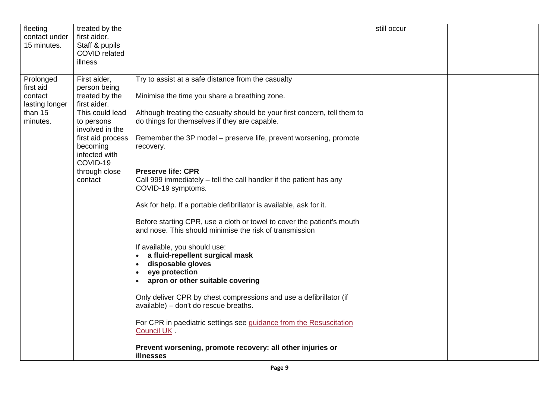| First aider,<br>Try to assist at a safe distance from the casualty<br>Prolonged<br>first aid<br>person being<br>treated by the<br>Minimise the time you share a breathing zone.<br>contact<br>first aider.<br>lasting longer<br>than 15<br>This could lead<br>Although treating the casualty should be your first concern, tell them to<br>minutes.<br>do things for themselves if they are capable.<br>to persons<br>involved in the<br>first aid process<br>Remember the 3P model – preserve life, prevent worsening, promote<br>becoming<br>recovery.<br>infected with<br>COVID-19<br><b>Preserve life: CPR</b><br>through close<br>Call 999 immediately - tell the call handler if the patient has any<br>contact<br>COVID-19 symptoms.<br>Ask for help. If a portable defibrillator is available, ask for it.<br>Before starting CPR, use a cloth or towel to cover the patient's mouth<br>and nose. This should minimise the risk of transmission<br>If available, you should use:<br>a fluid-repellent surgical mask<br>disposable gloves<br>$\bullet$<br>eye protection<br>$\bullet$ | fleeting<br>contact under<br>15 minutes. | treated by the<br>first aider.<br>Staff & pupils<br><b>COVID</b> related<br>illness |                                               | still occur |  |
|----------------------------------------------------------------------------------------------------------------------------------------------------------------------------------------------------------------------------------------------------------------------------------------------------------------------------------------------------------------------------------------------------------------------------------------------------------------------------------------------------------------------------------------------------------------------------------------------------------------------------------------------------------------------------------------------------------------------------------------------------------------------------------------------------------------------------------------------------------------------------------------------------------------------------------------------------------------------------------------------------------------------------------------------------------------------------------------------|------------------------------------------|-------------------------------------------------------------------------------------|-----------------------------------------------|-------------|--|
| Only deliver CPR by chest compressions and use a defibrillator (if<br>available) - don't do rescue breaths.<br>For CPR in paediatric settings see guidance from the Resuscitation<br>Council UK.<br>Prevent worsening, promote recovery: all other injuries or<br>illnesses                                                                                                                                                                                                                                                                                                                                                                                                                                                                                                                                                                                                                                                                                                                                                                                                                  |                                          |                                                                                     | apron or other suitable covering<br>$\bullet$ |             |  |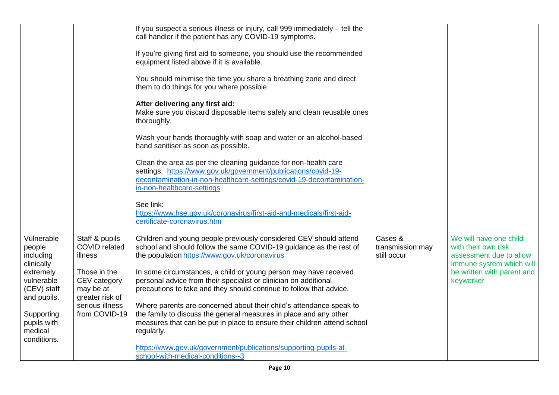|                                                       |                                                              | If you suspect a serious illness or injury, call 999 immediately – tell the<br>call handler if the patient has any COVID-19 symptoms.                                                                                                   |                                            |                                                                                                      |
|-------------------------------------------------------|--------------------------------------------------------------|-----------------------------------------------------------------------------------------------------------------------------------------------------------------------------------------------------------------------------------------|--------------------------------------------|------------------------------------------------------------------------------------------------------|
|                                                       |                                                              | If you're giving first aid to someone, you should use the recommended<br>equipment listed above if it is available.                                                                                                                     |                                            |                                                                                                      |
|                                                       |                                                              | You should minimise the time you share a breathing zone and direct<br>them to do things for you where possible.                                                                                                                         |                                            |                                                                                                      |
|                                                       |                                                              | After delivering any first aid:<br>Make sure you discard disposable items safely and clean reusable ones<br>thoroughly.                                                                                                                 |                                            |                                                                                                      |
|                                                       |                                                              | Wash your hands thoroughly with soap and water or an alcohol-based<br>hand sanitiser as soon as possible.                                                                                                                               |                                            |                                                                                                      |
|                                                       |                                                              | Clean the area as per the cleaning guidance for non-health care<br>settings. https://www.gov.uk/government/publications/covid-19-<br>decontamination-in-non-healthcare-settings/covid-19-decontamination-<br>in-non-healthcare-settings |                                            |                                                                                                      |
|                                                       |                                                              | See link:<br>https://www.hse.gov.uk/coronavirus/first-aid-and-medicals/first-aid-<br>certificate-coronavirus.htm                                                                                                                        |                                            |                                                                                                      |
| Vulnerable<br>people<br>including<br>clinically       | Staff & pupils<br><b>COVID</b> related<br>illness            | Children and young people previously considered CEV should attend<br>school and should follow the same COVID-19 guidance as the rest of<br>the population https://www.gov.uk/coronavirus                                                | Cases &<br>transmission may<br>still occur | We will have one child<br>with their own risk<br>assessment due to allow<br>immune system which will |
| extremely<br>vulnerable<br>(CEV) staff<br>and pupils. | Those in the<br>CEV category<br>may be at<br>greater risk of | In some circumstances, a child or young person may have received<br>personal advice from their specialist or clinician on additional<br>precautions to take and they should continue to follow that advice.                             |                                            | be written with parent and<br>keyworker                                                              |
| Supporting                                            | serious illness<br>from COVID-19                             | Where parents are concerned about their child's attendance speak to<br>the family to discuss the general measures in place and any other                                                                                                |                                            |                                                                                                      |
| pupils with<br>medical<br>conditions.                 |                                                              | measures that can be put in place to ensure their children attend school<br>regularly.                                                                                                                                                  |                                            |                                                                                                      |
|                                                       |                                                              | https://www.gov.uk/government/publications/supporting-pupils-at-<br>school-with-medical-conditions--3                                                                                                                                   |                                            |                                                                                                      |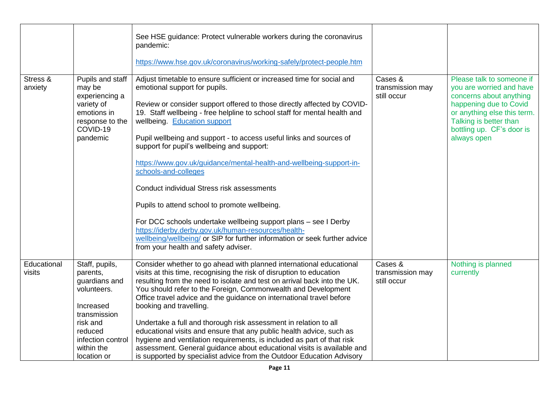|                       |                                                                                                                                                                  | See HSE guidance: Protect vulnerable workers during the coronavirus<br>pandemic:                                                                                                                                                                                                                                                                                                                                                                                                                                                                                                                                                                                                                                                                                                                                                                                          |                                            |                                                                                                                                                                                                                 |
|-----------------------|------------------------------------------------------------------------------------------------------------------------------------------------------------------|---------------------------------------------------------------------------------------------------------------------------------------------------------------------------------------------------------------------------------------------------------------------------------------------------------------------------------------------------------------------------------------------------------------------------------------------------------------------------------------------------------------------------------------------------------------------------------------------------------------------------------------------------------------------------------------------------------------------------------------------------------------------------------------------------------------------------------------------------------------------------|--------------------------------------------|-----------------------------------------------------------------------------------------------------------------------------------------------------------------------------------------------------------------|
|                       |                                                                                                                                                                  | https://www.hse.gov.uk/coronavirus/working-safely/protect-people.htm                                                                                                                                                                                                                                                                                                                                                                                                                                                                                                                                                                                                                                                                                                                                                                                                      |                                            |                                                                                                                                                                                                                 |
| Stress &<br>anxiety   | Pupils and staff<br>may be<br>experiencing a<br>variety of<br>emotions in<br>response to the<br>COVID-19<br>pandemic                                             | Adjust timetable to ensure sufficient or increased time for social and<br>emotional support for pupils.<br>Review or consider support offered to those directly affected by COVID-<br>19. Staff wellbeing - free helpline to school staff for mental health and<br>wellbeing. Education support<br>Pupil wellbeing and support - to access useful links and sources of<br>support for pupil's wellbeing and support:<br>https://www.gov.uk/guidance/mental-health-and-wellbeing-support-in-<br>schools-and-colleges<br><b>Conduct individual Stress risk assessments</b><br>Pupils to attend school to promote wellbeing.<br>For DCC schools undertake wellbeing support plans - see I Derby<br>https://iderby.derby.gov.uk/human-resources/health-<br>wellbeing/wellbeing/ or SIP for further information or seek further advice<br>from your health and safety adviser. | Cases &<br>transmission may<br>still occur | Please talk to someone if<br>you are worried and have<br>concerns about anything<br>happening due to Covid<br>or anything else this term.<br>Talking is better than<br>bottling up. CF's door is<br>always open |
| Educational<br>visits | Staff, pupils,<br>parents,<br>guardians and<br>volunteers.<br>Increased<br>transmission<br>risk and<br>reduced<br>infection control<br>within the<br>location or | Consider whether to go ahead with planned international educational<br>visits at this time, recognising the risk of disruption to education<br>resulting from the need to isolate and test on arrival back into the UK.<br>You should refer to the Foreign, Commonwealth and Development<br>Office travel advice and the guidance on international travel before<br>booking and travelling.<br>Undertake a full and thorough risk assessment in relation to all<br>educational visits and ensure that any public health advice, such as<br>hygiene and ventilation requirements, is included as part of that risk<br>assessment. General guidance about educational visits is available and<br>is supported by specialist advice from the Outdoor Education Advisory                                                                                                      | Cases &<br>transmission may<br>still occur | Nothing is planned<br>currently                                                                                                                                                                                 |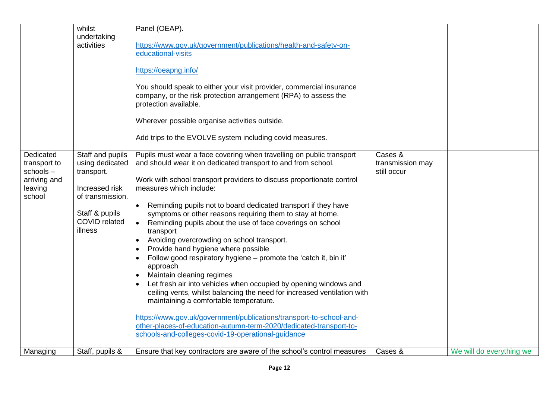|                                                                            | whilst<br>undertaking<br>activities                                                                                                          | Panel (OEAP).<br>https://www.gov.uk/government/publications/health-and-safety-on-<br>educational-visits<br>https://oeapng.info/<br>You should speak to either your visit provider, commercial insurance<br>company, or the risk protection arrangement (RPA) to assess the<br>protection available.<br>Wherever possible organise activities outside.<br>Add trips to the EVOLVE system including covid measures.                                                                                                                                                                                                                                                                                                                                                                                                                                                                                                                                                                                                                                                           |                                            |                          |
|----------------------------------------------------------------------------|----------------------------------------------------------------------------------------------------------------------------------------------|-----------------------------------------------------------------------------------------------------------------------------------------------------------------------------------------------------------------------------------------------------------------------------------------------------------------------------------------------------------------------------------------------------------------------------------------------------------------------------------------------------------------------------------------------------------------------------------------------------------------------------------------------------------------------------------------------------------------------------------------------------------------------------------------------------------------------------------------------------------------------------------------------------------------------------------------------------------------------------------------------------------------------------------------------------------------------------|--------------------------------------------|--------------------------|
| Dedicated<br>transport to<br>schools-<br>arriving and<br>leaving<br>school | Staff and pupils<br>using dedicated<br>transport.<br>Increased risk<br>of transmission.<br>Staff & pupils<br><b>COVID</b> related<br>illness | Pupils must wear a face covering when travelling on public transport<br>and should wear it on dedicated transport to and from school.<br>Work with school transport providers to discuss proportionate control<br>measures which include:<br>Reminding pupils not to board dedicated transport if they have<br>$\bullet$<br>symptoms or other reasons requiring them to stay at home.<br>Reminding pupils about the use of face coverings on school<br>$\bullet$<br>transport<br>Avoiding overcrowding on school transport.<br>Provide hand hygiene where possible<br>Follow good respiratory hygiene - promote the 'catch it, bin it'<br>approach<br>Maintain cleaning regimes<br>Let fresh air into vehicles when occupied by opening windows and<br>ceiling vents, whilst balancing the need for increased ventilation with<br>maintaining a comfortable temperature.<br>https://www.gov.uk/government/publications/transport-to-school-and-<br>other-places-of-education-autumn-term-2020/dedicated-transport-to-<br>schools-and-colleges-covid-19-operational-quidance | Cases &<br>transmission may<br>still occur |                          |
| Managing                                                                   | Staff, pupils &                                                                                                                              | Ensure that key contractors are aware of the school's control measures                                                                                                                                                                                                                                                                                                                                                                                                                                                                                                                                                                                                                                                                                                                                                                                                                                                                                                                                                                                                      | Cases &                                    | We will do everything we |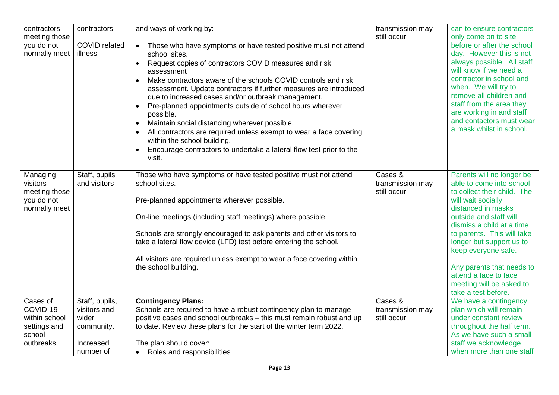| contractors - | contractors          | and ways of working by:                                                      | transmission may | can to ensure contractors   |
|---------------|----------------------|------------------------------------------------------------------------------|------------------|-----------------------------|
| meeting those |                      |                                                                              | still occur      | only come on to site        |
| you do not    | <b>COVID</b> related | Those who have symptoms or have tested positive must not attend<br>$\bullet$ |                  | before or after the school  |
| normally meet | illness              | school sites.                                                                |                  | day. However this is not    |
|               |                      |                                                                              |                  | always possible. All staff  |
|               |                      | Request copies of contractors COVID measures and risk<br>$\bullet$           |                  | will know if we need a      |
|               |                      | assessment                                                                   |                  |                             |
|               |                      | Make contractors aware of the schools COVID controls and risk                |                  | contractor in school and    |
|               |                      | assessment. Update contractors if further measures are introduced            |                  | when. We will try to        |
|               |                      | due to increased cases and/or outbreak management.                           |                  | remove all children and     |
|               |                      | Pre-planned appointments outside of school hours wherever                    |                  | staff from the area they    |
|               |                      | possible.                                                                    |                  | are working in and staff    |
|               |                      |                                                                              |                  | and contactors must wear    |
|               |                      | Maintain social distancing wherever possible.                                |                  | a mask whilst in school.    |
|               |                      | All contractors are required unless exempt to wear a face covering           |                  |                             |
|               |                      | within the school building.                                                  |                  |                             |
|               |                      | Encourage contractors to undertake a lateral flow test prior to the          |                  |                             |
|               |                      | visit.                                                                       |                  |                             |
|               |                      |                                                                              |                  |                             |
| Managing      | Staff, pupils        | Those who have symptoms or have tested positive must not attend              | Cases &          | Parents will no longer be   |
| visitors $-$  | and visitors         | school sites.                                                                | transmission may | able to come into school    |
|               |                      |                                                                              | still occur      | to collect their child. The |
| meeting those |                      |                                                                              |                  |                             |
| you do not    |                      | Pre-planned appointments wherever possible.                                  |                  | will wait socially          |
| normally meet |                      |                                                                              |                  | distanced in masks          |
|               |                      | On-line meetings (including staff meetings) where possible                   |                  | outside and staff will      |
|               |                      |                                                                              |                  | dismiss a child at a time   |
|               |                      | Schools are strongly encouraged to ask parents and other visitors to         |                  | to parents. This will take  |
|               |                      | take a lateral flow device (LFD) test before entering the school.            |                  | longer but support us to    |
|               |                      |                                                                              |                  | keep everyone safe.         |
|               |                      | All visitors are required unless exempt to wear a face covering within       |                  |                             |
|               |                      |                                                                              |                  |                             |
|               |                      | the school building.                                                         |                  | Any parents that needs to   |
|               |                      |                                                                              |                  | attend a face to face       |
|               |                      |                                                                              |                  | meeting will be asked to    |
|               |                      |                                                                              |                  | take a test before.         |
| Cases of      | Staff, pupils,       | <b>Contingency Plans:</b>                                                    | Cases &          | We have a contingency       |
| COVID-19      | visitors and         | Schools are required to have a robust contingency plan to manage             | transmission may | plan which will remain      |
| within school | wider                | positive cases and school outbreaks - this must remain robust and up         | still occur      | under constant review       |
| settings and  | community.           | to date. Review these plans for the start of the winter term 2022.           |                  | throughout the half term.   |
| school        |                      |                                                                              |                  | As we have such a small     |
| outbreaks.    | Increased            | The plan should cover:                                                       |                  | staff we acknowledge        |
|               |                      |                                                                              |                  |                             |
|               | number of            | Roles and responsibilities<br>$\bullet$                                      |                  | when more than one staff    |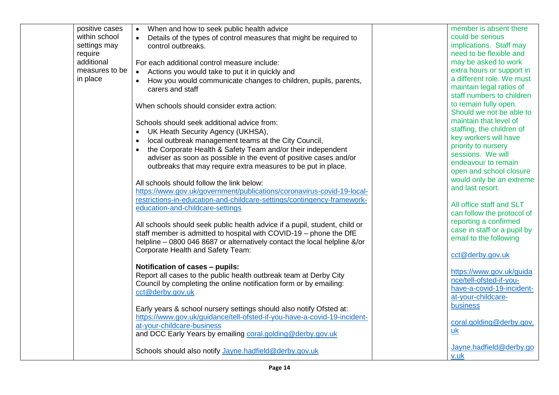| positive cases | When and how to seek public health advice<br>$\bullet$                              | member is absent there      |
|----------------|-------------------------------------------------------------------------------------|-----------------------------|
| within school  | Details of the types of control measures that might be required to<br>$\bullet$     | could be serious            |
| settings may   | control outbreaks.                                                                  | implications. Staff may     |
| require        |                                                                                     | need to be flexible and     |
| additional     | For each additional control measure include:                                        | may be asked to work        |
| measures to be | Actions you would take to put it in quickly and<br>$\bullet$                        | extra hours or support in   |
| in place       |                                                                                     | a different role. We must   |
|                | How you would communicate changes to children, pupils, parents,<br>carers and staff | maintain legal ratios of    |
|                |                                                                                     | staff numbers to children   |
|                |                                                                                     | to remain fully open.       |
|                | When schools should consider extra action:                                          | Should we not be able to    |
|                |                                                                                     | maintain that level of      |
|                | Schools should seek additional advice from:                                         | staffing, the children of   |
|                | UK Heath Security Agency (UKHSA),<br>$\bullet$                                      |                             |
|                | local outbreak management teams at the City Council,<br>$\bullet$                   | key workers will have       |
|                | the Corporate Health & Safety Team and/or their independent                         | priority to nursery         |
|                | adviser as soon as possible in the event of positive cases and/or                   | sessions. We will           |
|                | outbreaks that may require extra measures to be put in place.                       | endeavour to remain         |
|                |                                                                                     | open and school closure     |
|                | All schools should follow the link below:                                           | would only be an extreme    |
|                | https://www.gov.uk/government/publications/coronavirus-covid-19-local-              | and last resort.            |
|                | restrictions-in-education-and-childcare-settings/contingency-framework-             |                             |
|                | education-and-childcare-settings                                                    | All office staff and SLT    |
|                |                                                                                     | can follow the protocol of  |
|                | All schools should seek public health advice if a pupil, student, child or          | reporting a confirmed       |
|                | staff member is admitted to hospital with COVID-19 - phone the DfE                  | case in staff or a pupil by |
|                | helpline - 0800 046 8687 or alternatively contact the local helpline &/or           | email to the following      |
|                | Corporate Health and Safety Team:                                                   |                             |
|                |                                                                                     | cct@derby.gov.uk            |
|                | Notification of cases - pupils:                                                     |                             |
|                | Report all cases to the public health outbreak team at Derby City                   | https://www.gov.uk/guida    |
|                | Council by completing the online notification form or by emailing:                  | nce/tell-ofsted-if-you-     |
|                | cct@derby.gov.uk                                                                    | have-a-covid-19-incident-   |
|                |                                                                                     | at-your-childcare-          |
|                | Early years & school nursery settings should also notify Ofsted at:                 | business                    |
|                | https://www.gov.uk/guidance/tell-ofsted-if-you-have-a-covid-19-incident-            |                             |
|                | at-your-childcare-business                                                          | coral.golding@derby.gov.    |
|                | and DCC Early Years by emailing coral.golding@derby.gov.uk                          | $uk$                        |
|                |                                                                                     |                             |
|                | Schools should also notify Jayne.hadfield@derby.gov.uk                              | Jayne.hadfield@derby.go     |
|                |                                                                                     | v.uk                        |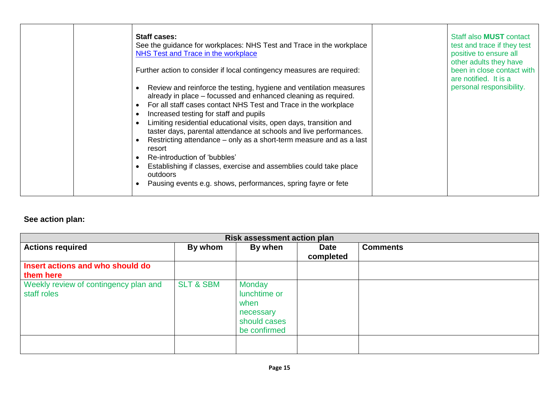|  | <b>Staff cases:</b><br>See the guidance for workplaces: NHS Test and Trace in the workplace<br>NHS Test and Trace in the workplace<br>Further action to consider if local contingency measures are required:<br>Review and reinforce the testing, hygiene and ventilation measures<br>already in place – focussed and enhanced cleaning as required.<br>For all staff cases contact NHS Test and Trace in the workplace<br>Increased testing for staff and pupils<br>Limiting residential educational visits, open days, transition and<br>taster days, parental attendance at schools and live performances.<br>Restricting attendance – only as a short-term measure and as a last<br>resort<br>Re-introduction of 'bubbles'<br>Establishing if classes, exercise and assemblies could take place<br>outdoors<br>Pausing events e.g. shows, performances, spring fayre or fete |  | Staff also <b>MUST</b> contact<br>test and trace if they test<br>positive to ensure all<br>other adults they have<br>been in close contact with<br>are notified. It is a<br>personal responsibility. |
|--|----------------------------------------------------------------------------------------------------------------------------------------------------------------------------------------------------------------------------------------------------------------------------------------------------------------------------------------------------------------------------------------------------------------------------------------------------------------------------------------------------------------------------------------------------------------------------------------------------------------------------------------------------------------------------------------------------------------------------------------------------------------------------------------------------------------------------------------------------------------------------------|--|------------------------------------------------------------------------------------------------------------------------------------------------------------------------------------------------------|
|--|----------------------------------------------------------------------------------------------------------------------------------------------------------------------------------------------------------------------------------------------------------------------------------------------------------------------------------------------------------------------------------------------------------------------------------------------------------------------------------------------------------------------------------------------------------------------------------------------------------------------------------------------------------------------------------------------------------------------------------------------------------------------------------------------------------------------------------------------------------------------------------|--|------------------------------------------------------------------------------------------------------------------------------------------------------------------------------------------------------|

# **See action plan:**

| <b>Risk assessment action plan</b>                   |                      |                                                                                    |                          |                 |
|------------------------------------------------------|----------------------|------------------------------------------------------------------------------------|--------------------------|-----------------|
| <b>Actions required</b>                              | By whom              | By when                                                                            | <b>Date</b><br>completed | <b>Comments</b> |
| Insert actions and who should do<br>them here        |                      |                                                                                    |                          |                 |
| Weekly review of contingency plan and<br>staff roles | <b>SLT &amp; SBM</b> | <b>Monday</b><br>lunchtime or<br>when<br>necessary<br>should cases<br>be confirmed |                          |                 |
|                                                      |                      |                                                                                    |                          |                 |